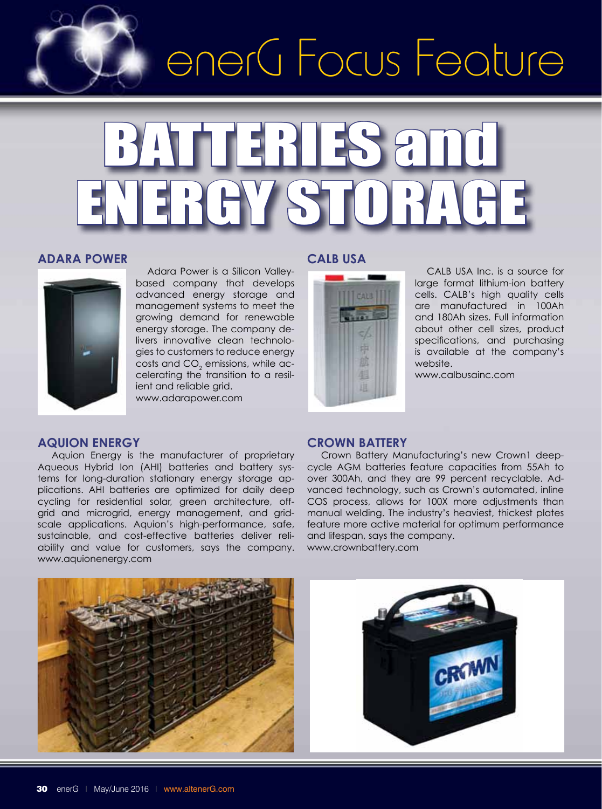

# BATTERIES A ENERGY STORAGE

#### **Adara Power**



 Adara Power is a Silicon Valleybased company that develops advanced energy storage and management systems to meet the growing demand for renewable energy storage. The company delivers innovative clean technologies to customers to reduce energy costs and CO $_{\textrm{\tiny{2}}}$  emissions, while accelerating the transition to a resilient and reliable grid. www.adarapower.com

#### **Aquion Energy**

Aquion Energy is the manufacturer of proprietary Aqueous Hybrid Ion (AHI) batteries and battery systems for long-duration stationary energy storage applications. AHI batteries are optimized for daily deep cycling for residential solar, green architecture, offgrid and microgrid, energy management, and gridscale applications. Aquion's high-performance, safe, sustainable, and cost-effective batteries deliver reliability and value for customers, says the company. www.aquionenergy.com

#### **CALB USA**



 CALB USA Inc. is a source for large format lithium-ion battery cells. CALB's high quality cells are manufactured in 100Ah and 180Ah sizes. Full information about other cell sizes, product specifications, and purchasing is available at the company's website.

www.calbusainc.com

#### **Crown Battery**

Crown Battery Manufacturing's new Crown1 deepcycle AGM batteries feature capacities from 55Ah to over 300Ah, and they are 99 percent recyclable. Advanced technology, such as Crown's automated, inline COS process, allows for 100X more adjustments than manual welding. The industry's heaviest, thickest plates feature more active material for optimum performance and lifespan, says the company. www.crownbattery.com



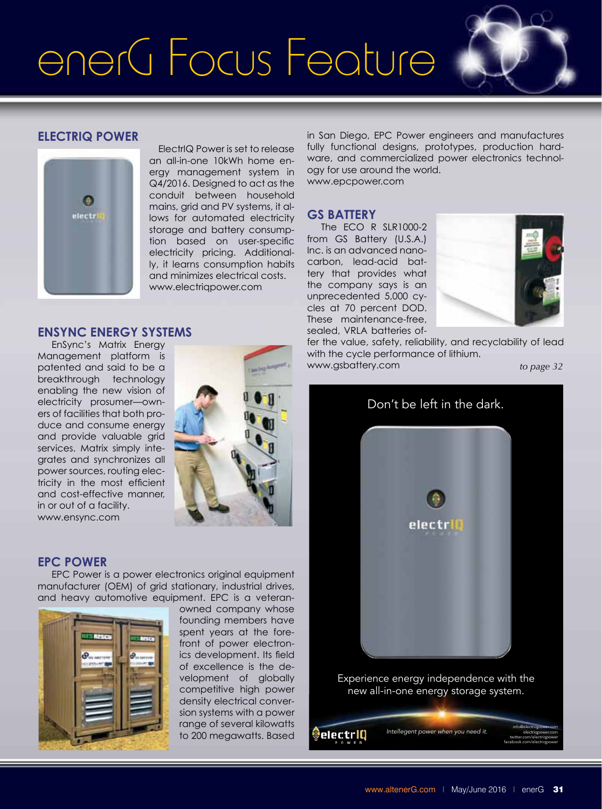

#### **ElectrIQ Power**



**EnSync Energy Systems**

 ElectrIQ Power is set to release an all-in-one 10kWh home energy management system in Q4/2016. Designed to act as the conduit between household mains, grid and PV systems, it allows for automated electricity storage and battery consumption based on user-specific electricity pricing. Additionally, it learns consumption habits and minimizes electrical costs. www.electriqpower.com

#### fully functional designs, prototypes, production hardware, and commercialized power electronics technology for use around the world. www.epcpower.com **GS Battery**

in San Diego, EPC Power engineers and manufactures

The ECO R SLR1000-2 from GS Battery (U.S.A.) Inc. is an advanced nanocarbon, lead-acid battery that provides what the company says is an unprecedented 5,000 cycles at 70 percent DOD. These maintenance-free, sealed, VRLA batteries of-



fer the value, safety, reliability, and recyclability of lead with the cycle performance of lithium. www.gsbattery.com

*to page 32*

#### EnSync's Matrix Energy Management platform is patented and said to be a breakthrough technology enabling the new vision of electricity prosumer—owners of facilities that both produce and consume energy and provide valuable grid services. Matrix simply integrates and synchronizes all power sources, routing electricity in the most efficient and cost-effective manner,

#### **EPC Power**

in or out of a facility. www.ensync.com

EPC Power is a power electronics original equipment manufacturer (OEM) of grid stationary, industrial drives, and heavy automotive equipment. EPC is a veteran-



owned company whose founding members have spent years at the forefront of power electronics development. Its field of excellence is the development of globally competitive high power density electrical conversion systems with a power range of several kilowatts to 200 megawatts. Based

Don't be left in the dark. electril

Experience energy independence with the new all-in-one energy storage system.

Intellegent power when you need it. electriQ electriqpower.com twitter.com/electriqpower facebook.com/electriqpower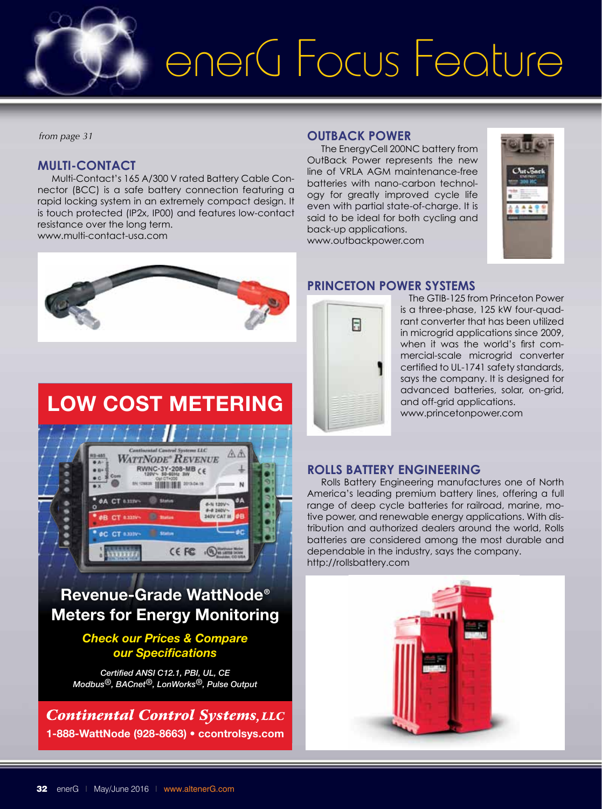

*from page 31*

#### **Multi-Contact**

Multi-Contact's 165 A/300 V rated Battery Cable Connector (BCC) is a safe battery connection featuring a rapid locking system in an extremely compact design. It is touch protected (IP2x, IP00) and features low-contact resistance over the long term. www.multi-contact-usa.com

#### **OutBack Power**

The EnergyCell 200NC battery from OutBack Power represents the new line of VRLA AGM maintenance-free batteries with nano-carbon technology for greatly improved cycle life even with partial state-of-charge. It is said to be ideal for both cycling and back-up applications.

www.outbackpower.com





### LOW COST METERING



### Revenue-Grade WattNode® Meters for Energy Monitoring

#### *Check our Prices & Compare our Specifications*

*Certified ANSI C12.1, PBI, UL, CE Modbus®, BACnet®, LonWorks®, Pulse Output*

**Continental Control Systems, LLC** 1-888-WattNode (928-8663) • ccontrolsys.com

#### **Princeton Power Systems**



 The GTIB-125 from Princeton Power is a three-phase, 125 kW four-quadrant converter that has been utilized in microgrid applications since 2009, when it was the world's first commercial-scale microgrid converter certified to UL-1741 safety standards, says the company. It is designed for advanced batteries, solar, on-grid, and off-grid applications. www.princetonpower.com

#### **Rolls Battery Engineering**

Rolls Battery Engineering manufactures one of North America's leading premium battery lines, offering a full range of deep cycle batteries for railroad, marine, motive power, and renewable energy applications. With distribution and authorized dealers around the world, Rolls batteries are considered among the most durable and dependable in the industry, says the company. http://rollsbattery.com